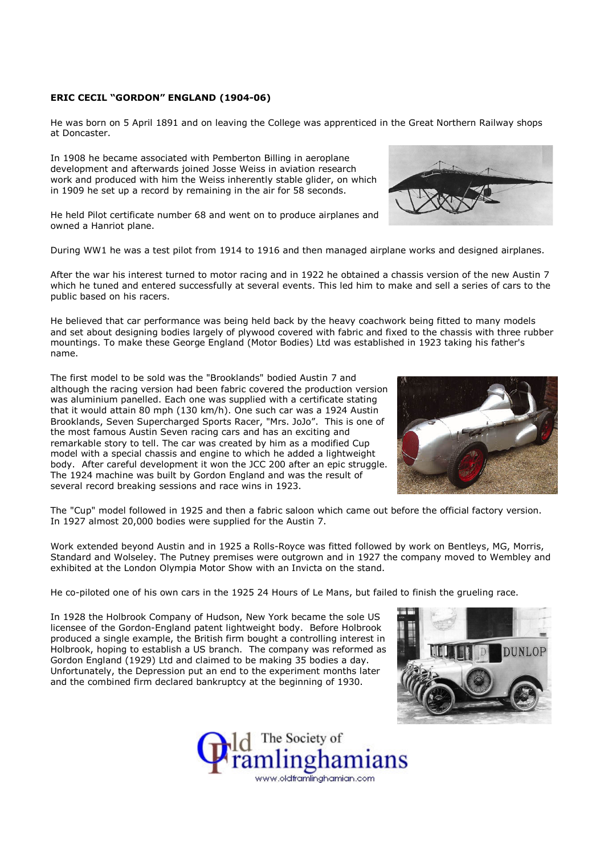## ERIC CECIL "GORDON" ENGLAND (1904-06)

He was born on 5 April 1891 and on leaving the College was apprenticed in the Great Northern Railway shops at Doncaster.

In 1908 he became associated with Pemberton Billing in aeroplane development and afterwards joined Josse Weiss in aviation research work and produced with him the Weiss inherently stable glider, on which in 1909 he set up a record by remaining in the air for 58 seconds.

He held Pilot certificate number 68 and went on to produce airplanes and owned a Hanriot plane.

During WW1 he was a test pilot from 1914 to 1916 and then managed airplane works and designed airplanes.

After the war his interest turned to motor racing and in 1922 he obtained a chassis version of the new Austin 7 which he tuned and entered successfully at several events. This led him to make and sell a series of cars to the public based on his racers.

He believed that car performance was being held back by the heavy coachwork being fitted to many models and set about designing bodies largely of plywood covered with fabric and fixed to the chassis with three rubber mountings. To make these George England (Motor Bodies) Ltd was established in 1923 taking his father's name.

The first model to be sold was the "Brooklands" bodied Austin 7 and although the racing version had been fabric covered the production version was aluminium panelled. Each one was supplied with a certificate stating that it would attain 80 mph (130 km/h). One such car was a 1924 Austin Brooklands, Seven Supercharged Sports Racer, "Mrs. JoJo". This is one of the most famous Austin Seven racing cars and has an exciting and remarkable story to tell. The car was created by him as a modified Cup model with a special chassis and engine to which he added a lightweight body. After careful development it won the JCC 200 after an epic struggle. The 1924 machine was built by Gordon England and was the result of several record breaking sessions and race wins in 1923.



The "Cup" model followed in 1925 and then a fabric saloon which came out before the official factory version. In 1927 almost 20,000 bodies were supplied for the Austin 7.

Work extended beyond Austin and in 1925 a Rolls-Royce was fitted followed by work on Bentleys, MG, Morris, Standard and Wolseley. The Putney premises were outgrown and in 1927 the company moved to Wembley and exhibited at the London Olympia Motor Show with an Invicta on the stand.

He co-piloted one of his own cars in the 1925 24 Hours of Le Mans, but failed to finish the grueling race.

In 1928 the Holbrook Company of Hudson, New York became the sole US licensee of the Gordon-England patent lightweight body. Before Holbrook produced a single example, the British firm bought a controlling interest in Holbrook, hoping to establish a US branch. The company was reformed as Gordon England (1929) Ltd and claimed to be making 35 bodies a day. Unfortunately, the Depression put an end to the experiment months later and the combined firm declared bankruptcy at the beginning of 1930.